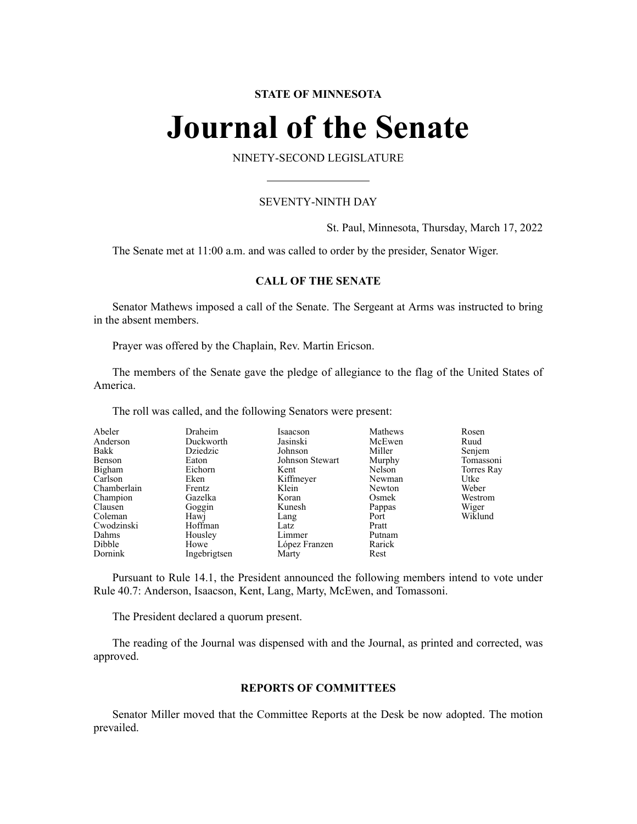# **STATE OF MINNESOTA**

# **Journal of the Senate**

NINETY-SECOND LEGISLATURE

# SEVENTY-NINTH DAY

St. Paul, Minnesota, Thursday, March 17, 2022

The Senate met at 11:00 a.m. and was called to order by the presider, Senator Wiger.

# **CALL OF THE SENATE**

Senator Mathews imposed a call of the Senate. The Sergeant at Arms was instructed to bring in the absent members.

Prayer was offered by the Chaplain, Rev. Martin Ericson.

The members of the Senate gave the pledge of allegiance to the flag of the United States of America.

The roll was called, and the following Senators were present:

| Abeler      | Draheim      | Isaacson        | Mathews | Rosen      |
|-------------|--------------|-----------------|---------|------------|
| Anderson    | Duckworth    | Jasinski        | McEwen  | Ruud       |
| Bakk        | Dziedzic     | Johnson         | Miller  | Senjem     |
| Benson      | Eaton        | Johnson Stewart | Murphy  | Tomassoni  |
| Bigham      | Eichorn      | Kent            | Nelson  | Torres Ray |
| Carlson     | Eken         | Kiffmeyer       | Newman  | Utke       |
| Chamberlain | Frentz       | Klein           | Newton  | Weber      |
| Champion    | Gazelka      | Koran           | Osmek   | Westrom    |
| Clausen     | Goggin       | Kunesh          | Pappas  | Wiger      |
| Coleman     | Hawj         | Lang            | Port    | Wiklund    |
| Cwodzinski  | Hoffman      | Latz            | Pratt   |            |
| Dahms       | Housley      | Limmer          | Putnam  |            |
| Dibble      | Howe         | López Franzen   | Rarick  |            |
| Dornink     | Ingebrigtsen | Marty           | Rest    |            |

Pursuant to Rule 14.1, the President announced the following members intend to vote under Rule 40.7: Anderson, Isaacson, Kent, Lang, Marty, McEwen, and Tomassoni.

The President declared a quorum present.

The reading of the Journal was dispensed with and the Journal, as printed and corrected, was approved.

### **REPORTS OF COMMITTEES**

Senator Miller moved that the Committee Reports at the Desk be now adopted. The motion prevailed.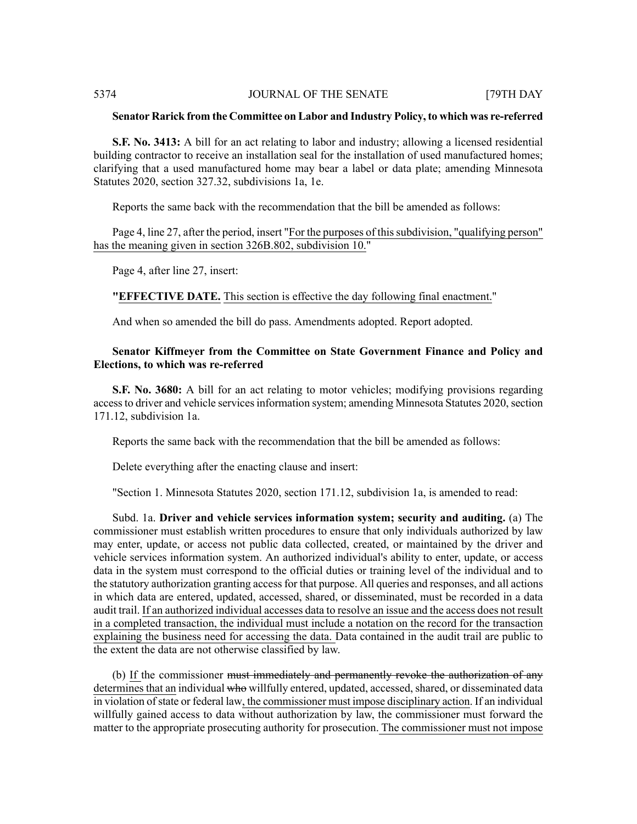#### **Senator Rarick from the Committee on Labor and Industry Policy, to which was re-referred**

**S.F. No. 3413:** A bill for an act relating to labor and industry; allowing a licensed residential building contractor to receive an installation seal for the installation of used manufactured homes; clarifying that a used manufactured home may bear a label or data plate; amending Minnesota Statutes 2020, section 327.32, subdivisions 1a, 1e.

Reports the same back with the recommendation that the bill be amended as follows:

Page 4, line 27, after the period, insert "For the purposes of this subdivision, "qualifying person" has the meaning given in section 326B.802, subdivision 10."

Page 4, after line 27, insert:

## **"EFFECTIVE DATE.** This section is effective the day following final enactment."

And when so amended the bill do pass. Amendments adopted. Report adopted.

# **Senator Kiffmeyer from the Committee on State Government Finance and Policy and Elections, to which was re-referred**

**S.F. No. 3680:** A bill for an act relating to motor vehicles; modifying provisions regarding access to driver and vehicle services information system; amending Minnesota Statutes 2020, section 171.12, subdivision 1a.

Reports the same back with the recommendation that the bill be amended as follows:

Delete everything after the enacting clause and insert:

"Section 1. Minnesota Statutes 2020, section 171.12, subdivision 1a, is amended to read:

Subd. 1a. **Driver and vehicle services information system; security and auditing.** (a) The commissioner must establish written procedures to ensure that only individuals authorized by law may enter, update, or access not public data collected, created, or maintained by the driver and vehicle services information system. An authorized individual's ability to enter, update, or access data in the system must correspond to the official duties or training level of the individual and to the statutory authorization granting access for that purpose. All queries and responses, and all actions in which data are entered, updated, accessed, shared, or disseminated, must be recorded in a data audit trail. If an authorized individual accesses data to resolve an issue and the access does not result in a completed transaction, the individual must include a notation on the record for the transaction explaining the business need for accessing the data. Data contained in the audit trail are public to the extent the data are not otherwise classified by law.

(b) If the commissioner <del>must immediately and permanently revoke the authorization of any</del> determines that an individual who willfully entered, updated, accessed, shared, or disseminated data in violation ofstate or federal law, the commissioner must impose disciplinary action. If an individual willfully gained access to data without authorization by law, the commissioner must forward the matter to the appropriate prosecuting authority for prosecution. The commissioner must not impose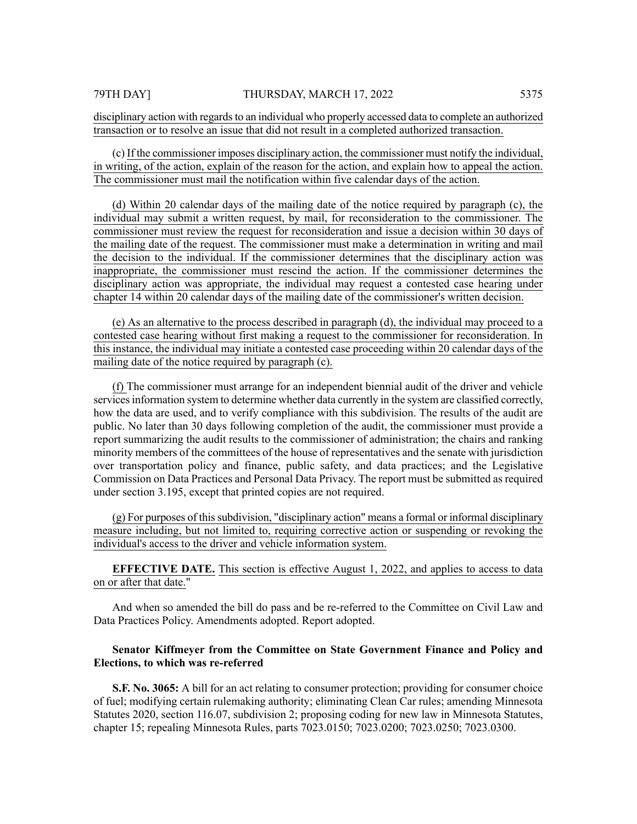(c) If the commissioner imposes disciplinary action, the commissioner must notify the individual, in writing, of the action, explain of the reason for the action, and explain how to appeal the action. The commissioner must mail the notification within five calendar days of the action.

(d) Within 20 calendar days of the mailing date of the notice required by paragraph (c), the individual may submit a written request, by mail, for reconsideration to the commissioner. The commissioner must review the request for reconsideration and issue a decision within 30 days of the mailing date of the request. The commissioner must make a determination in writing and mail the decision to the individual. If the commissioner determines that the disciplinary action was inappropriate, the commissioner must rescind the action. If the commissioner determines the disciplinary action was appropriate, the individual may request a contested case hearing under chapter 14 within 20 calendar days of the mailing date of the commissioner's written decision.

(e) As an alternative to the process described in paragraph (d), the individual may proceed to a contested case hearing without first making a request to the commissioner for reconsideration. In this instance, the individual may initiate a contested case proceeding within 20 calendar days of the mailing date of the notice required by paragraph (c).

(f) The commissioner must arrange for an independent biennial audit of the driver and vehicle servicesinformation system to determine whether data currently in the system are classified correctly, how the data are used, and to verify compliance with this subdivision. The results of the audit are public. No later than 30 days following completion of the audit, the commissioner must provide a report summarizing the audit results to the commissioner of administration; the chairs and ranking minority members of the committees of the house of representatives and the senate with jurisdiction over transportation policy and finance, public safety, and data practices; and the Legislative Commission on Data Practices and Personal Data Privacy. The report must be submitted as required under section 3.195, except that printed copies are not required.

(g) For purposes of this subdivision, "disciplinary action" means a formal or informal disciplinary measure including, but not limited to, requiring corrective action or suspending or revoking the individual's access to the driver and vehicle information system.

**EFFECTIVE DATE.** This section is effective August 1, 2022, and applies to access to data on or after that date."

And when so amended the bill do pass and be re-referred to the Committee on Civil Law and Data Practices Policy. Amendments adopted. Report adopted.

# **Senator Kiffmeyer from the Committee on State Government Finance and Policy and Elections, to which was re-referred**

**S.F. No. 3065:** A bill for an act relating to consumer protection; providing for consumer choice of fuel; modifying certain rulemaking authority; eliminating Clean Car rules; amending Minnesota Statutes 2020, section 116.07, subdivision 2; proposing coding for new law in Minnesota Statutes, chapter 15; repealing Minnesota Rules, parts 7023.0150; 7023.0200; 7023.0250; 7023.0300.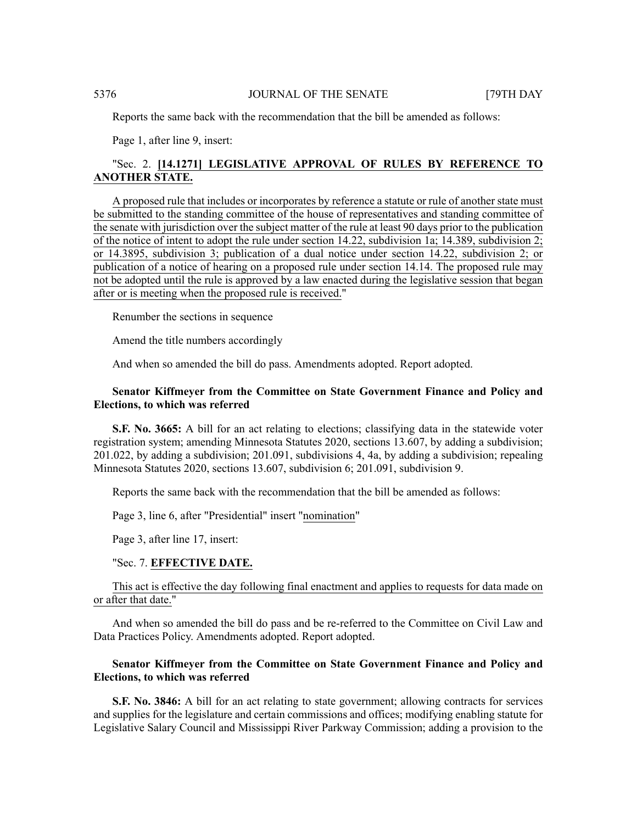Reports the same back with the recommendation that the bill be amended as follows:

Page 1, after line 9, insert:

# "Sec. 2. **[14.1271] LEGISLATIVE APPROVAL OF RULES BY REFERENCE TO ANOTHER STATE.**

A proposed rule that includes or incorporates by reference a statute or rule of another state must be submitted to the standing committee of the house of representatives and standing committee of the senate with jurisdiction over the subject matter of the rule at least 90 days prior to the publication of the notice of intent to adopt the rule under section 14.22, subdivision 1a; 14.389, subdivision 2; or 14.3895, subdivision 3; publication of a dual notice under section 14.22, subdivision 2; or publication of a notice of hearing on a proposed rule under section 14.14. The proposed rule may not be adopted until the rule is approved by a law enacted during the legislative session that began after or is meeting when the proposed rule is received."

Renumber the sections in sequence

Amend the title numbers accordingly

And when so amended the bill do pass. Amendments adopted. Report adopted.

# **Senator Kiffmeyer from the Committee on State Government Finance and Policy and Elections, to which was referred**

**S.F. No. 3665:** A bill for an act relating to elections; classifying data in the statewide voter registration system; amending Minnesota Statutes 2020, sections 13.607, by adding a subdivision; 201.022, by adding a subdivision; 201.091, subdivisions 4, 4a, by adding a subdivision; repealing Minnesota Statutes 2020, sections 13.607, subdivision 6; 201.091, subdivision 9.

Reports the same back with the recommendation that the bill be amended as follows:

Page 3, line 6, after "Presidential" insert "nomination"

Page 3, after line 17, insert:

#### "Sec. 7. **EFFECTIVE DATE.**

This act is effective the day following final enactment and applies to requests for data made on or after that date."

And when so amended the bill do pass and be re-referred to the Committee on Civil Law and Data Practices Policy. Amendments adopted. Report adopted.

# **Senator Kiffmeyer from the Committee on State Government Finance and Policy and Elections, to which was referred**

**S.F. No. 3846:** A bill for an act relating to state government; allowing contracts for services and supplies for the legislature and certain commissions and offices; modifying enabling statute for Legislative Salary Council and Mississippi River Parkway Commission; adding a provision to the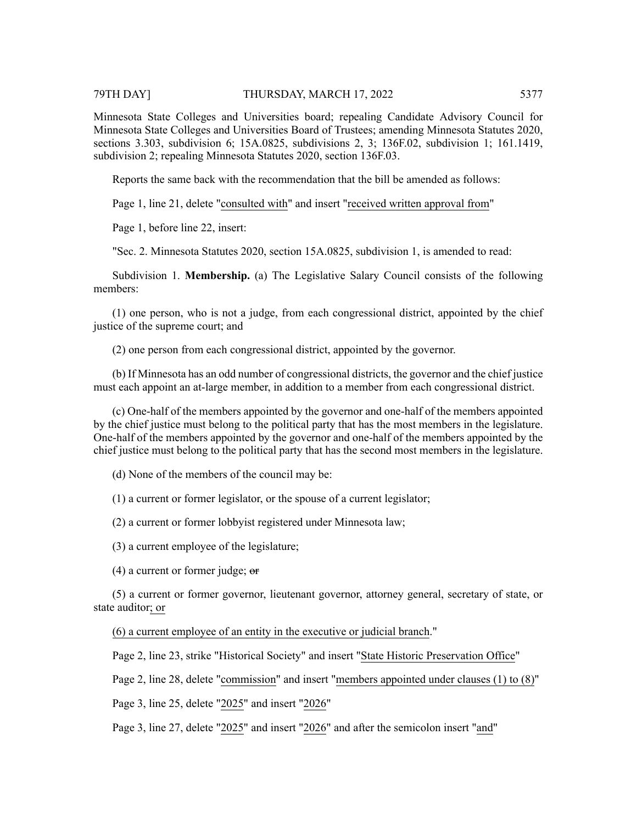Minnesota State Colleges and Universities board; repealing Candidate Advisory Council for Minnesota State Colleges and Universities Board of Trustees; amending Minnesota Statutes 2020, sections 3.303, subdivision 6; 15A.0825, subdivisions 2, 3; 136F.02, subdivision 1; 161.1419, subdivision 2; repealing Minnesota Statutes 2020, section 136F.03.

Reports the same back with the recommendation that the bill be amended as follows:

Page 1, line 21, delete "consulted with" and insert "received written approval from"

Page 1, before line 22, insert:

"Sec. 2. Minnesota Statutes 2020, section 15A.0825, subdivision 1, is amended to read:

Subdivision 1. **Membership.** (a) The Legislative Salary Council consists of the following members:

(1) one person, who is not a judge, from each congressional district, appointed by the chief justice of the supreme court; and

(2) one person from each congressional district, appointed by the governor.

(b) If Minnesota has an odd number of congressional districts, the governor and the chief justice must each appoint an at-large member, in addition to a member from each congressional district.

(c) One-half of the members appointed by the governor and one-half of the members appointed by the chief justice must belong to the political party that has the most members in the legislature. One-half of the members appointed by the governor and one-half of the members appointed by the chief justice must belong to the political party that has the second most members in the legislature.

(d) None of the members of the council may be:

(1) a current or former legislator, or the spouse of a current legislator;

(2) a current or former lobbyist registered under Minnesota law;

(3) a current employee of the legislature;

 $(4)$  a current or former judge;  $\sigma$ 

(5) a current or former governor, lieutenant governor, attorney general, secretary of state, or state auditor; or

(6) a current employee of an entity in the executive or judicial branch."

Page 2, line 23, strike "Historical Society" and insert "State Historic Preservation Office"

Page 2, line 28, delete "commission" and insert "members appointed under clauses (1) to (8)"

Page 3, line 25, delete "2025" and insert "2026"

Page 3, line 27, delete "2025" and insert "2026" and after the semicolon insert "and"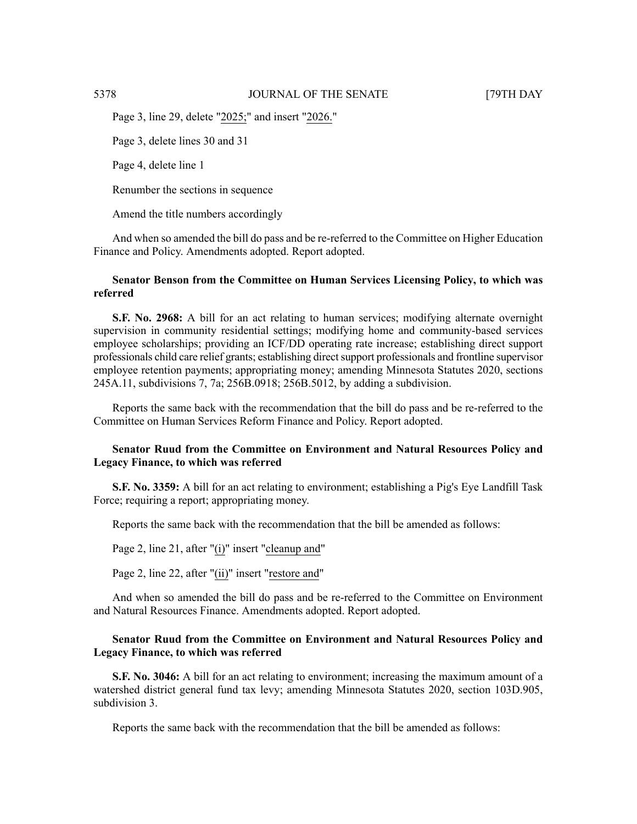Page 3, line 29, delete "2025;" and insert "2026."

Page 3, delete lines 30 and 31

Page 4, delete line 1

Renumber the sections in sequence

Amend the title numbers accordingly

And when so amended the bill do pass and be re-referred to the Committee on Higher Education Finance and Policy. Amendments adopted. Report adopted.

# **Senator Benson from the Committee on Human Services Licensing Policy, to which was referred**

**S.F. No. 2968:** A bill for an act relating to human services; modifying alternate overnight supervision in community residential settings; modifying home and community-based services employee scholarships; providing an ICF/DD operating rate increase; establishing direct support professionals child care relief grants; establishing direct support professionals and frontline supervisor employee retention payments; appropriating money; amending Minnesota Statutes 2020, sections 245A.11, subdivisions 7, 7a; 256B.0918; 256B.5012, by adding a subdivision.

Reports the same back with the recommendation that the bill do pass and be re-referred to the Committee on Human Services Reform Finance and Policy. Report adopted.

# **Senator Ruud from the Committee on Environment and Natural Resources Policy and Legacy Finance, to which was referred**

**S.F. No. 3359:** A bill for an act relating to environment; establishing a Pig's Eye Landfill Task Force; requiring a report; appropriating money.

Reports the same back with the recommendation that the bill be amended as follows:

Page 2, line 21, after "(i)" insert "cleanup and"

Page 2, line 22, after "(ii)" insert "restore and"

And when so amended the bill do pass and be re-referred to the Committee on Environment and Natural Resources Finance. Amendments adopted. Report adopted.

# **Senator Ruud from the Committee on Environment and Natural Resources Policy and Legacy Finance, to which was referred**

**S.F. No. 3046:** A bill for an act relating to environment; increasing the maximum amount of a watershed district general fund tax levy; amending Minnesota Statutes 2020, section 103D.905, subdivision 3.

Reports the same back with the recommendation that the bill be amended as follows: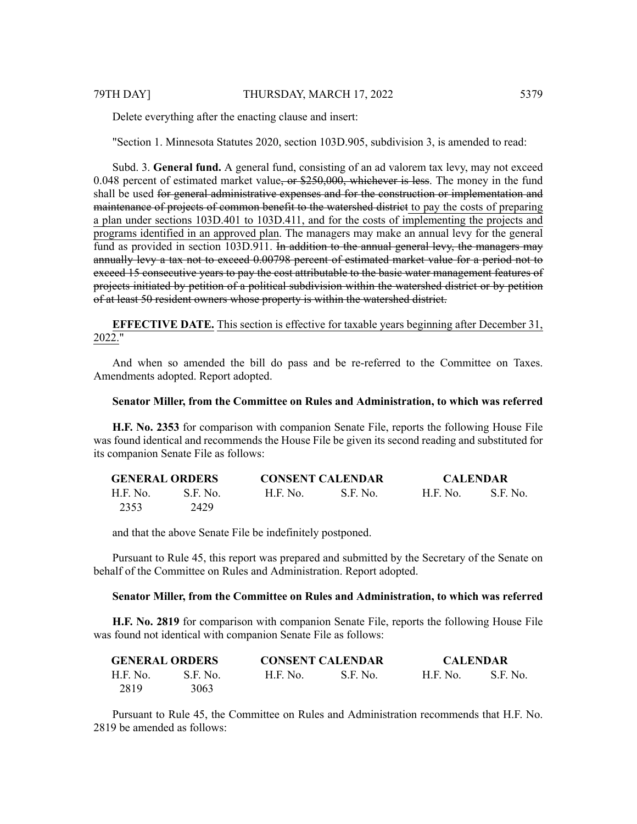Delete everything after the enacting clause and insert:

"Section 1. Minnesota Statutes 2020, section 103D.905, subdivision 3, is amended to read:

Subd. 3. **General fund.** A general fund, consisting of an ad valorem tax levy, may not exceed 0.048 percent of estimated market value,  $\sigma$  \$250,000, whichever is less. The money in the fund shall be used for general administrative expenses and for the construction or implementation and maintenance of projects of common benefit to the watershed district to pay the costs of preparing a plan under sections 103D.401 to 103D.411, and for the costs of implementing the projects and programs identified in an approved plan. The managers may make an annual levy for the general fund as provided in section 103D.911. In addition to the annual general levy, the managers may annually levy a tax not to exceed 0.00798 percent of estimated market value for a period not to exceed 15 consecutive years to pay the cost attributable to the basic water management features of projects initiated by petition of a political subdivision within the watershed district or by petition of at least 50 resident owners whose property is within the watershed district.

**EFFECTIVE DATE.** This section is effective for taxable years beginning after December 31, 2022."

And when so amended the bill do pass and be re-referred to the Committee on Taxes. Amendments adopted. Report adopted.

### **Senator Miller, from the Committee on Rules and Administration, to which was referred**

**H.F. No. 2353** for comparison with companion Senate File, reports the following House File was found identical and recommends the House File be given its second reading and substituted for its companion Senate File as follows:

| <b>GENERAL ORDERS</b> |          | <b>CONSENT CALENDAR</b> |           | <b>CALENDAR</b> |           |
|-----------------------|----------|-------------------------|-----------|-----------------|-----------|
| H.F. No.              | S.F. No. | H.F. No.                | -S.F. No. | H.F. No.        | -S.F. No. |
| 2353                  | 2429     |                         |           |                 |           |

and that the above Senate File be indefinitely postponed.

Pursuant to Rule 45, this report was prepared and submitted by the Secretary of the Senate on behalf of the Committee on Rules and Administration. Report adopted.

#### **Senator Miller, from the Committee on Rules and Administration, to which was referred**

**H.F. No. 2819** for comparison with companion Senate File, reports the following House File was found not identical with companion Senate File as follows:

| <b>GENERAL ORDERS</b> |          |          | <b>CONSENT CALENDAR</b> | <b>CALENDAR</b> |          |
|-----------------------|----------|----------|-------------------------|-----------------|----------|
| H.F. No.              | S.F. No. | H.F. No. | S.F. No.                | <b>H.F. No.</b> | S.F. No. |
| 2819                  | 3063     |          |                         |                 |          |

Pursuant to Rule 45, the Committee on Rules and Administration recommends that H.F. No. 2819 be amended as follows: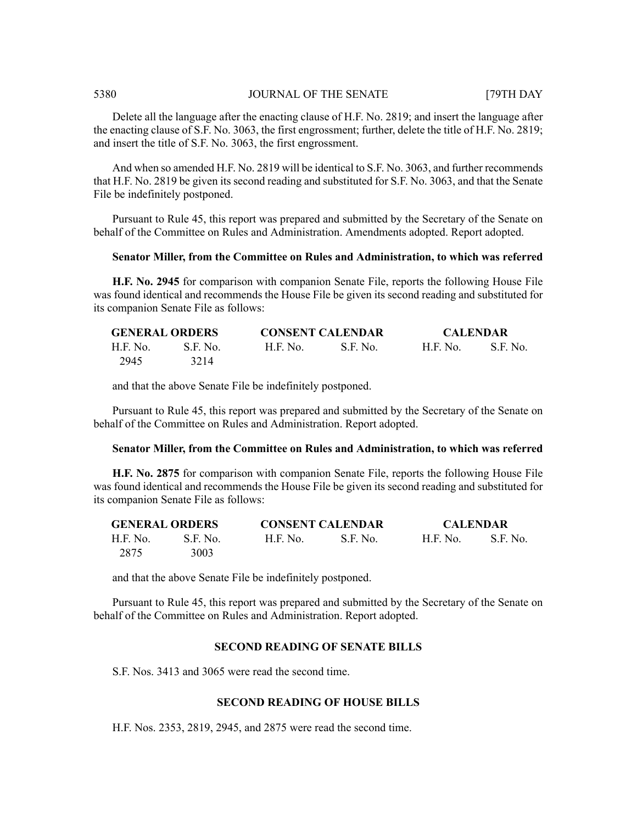Delete all the language after the enacting clause of H.F. No. 2819; and insert the language after the enacting clause of S.F. No. 3063, the first engrossment; further, delete the title of H.F. No. 2819; and insert the title of S.F. No. 3063, the first engrossment.

And when so amended H.F. No. 2819 will be identical to S.F. No. 3063, and further recommends that H.F. No. 2819 be given its second reading and substituted for S.F. No. 3063, and that the Senate File be indefinitely postponed.

Pursuant to Rule 45, this report was prepared and submitted by the Secretary of the Senate on behalf of the Committee on Rules and Administration. Amendments adopted. Report adopted.

# **Senator Miller, from the Committee on Rules and Administration, to which was referred**

**H.F. No. 2945** for comparison with companion Senate File, reports the following House File was found identical and recommends the House File be given its second reading and substituted for its companion Senate File as follows:

| <b>GENERAL ORDERS</b> |          | <b>CONSENT CALENDAR</b> |          | <b>CALENDAR</b> |          |
|-----------------------|----------|-------------------------|----------|-----------------|----------|
| H.F. No.              | S.F. No. | H.F. No.                | S.E. No. | H.E. No.        | S.F. No. |
| 2945                  | 3214     |                         |          |                 |          |

and that the above Senate File be indefinitely postponed.

Pursuant to Rule 45, this report was prepared and submitted by the Secretary of the Senate on behalf of the Committee on Rules and Administration. Report adopted.

#### **Senator Miller, from the Committee on Rules and Administration, to which was referred**

**H.F. No. 2875** for comparison with companion Senate File, reports the following House File was found identical and recommends the House File be given its second reading and substituted for its companion Senate File as follows:

| <b>GENERAL ORDERS</b> |          | <b>CONSENT CALENDAR</b> |          | <b>CALENDAR</b> |          |
|-----------------------|----------|-------------------------|----------|-----------------|----------|
| H.F. No.              | S.F. No. | H.F. No.                | S.F. No. | <b>H.F. No.</b> | S.F. No. |
| 2875                  | 3003     |                         |          |                 |          |

and that the above Senate File be indefinitely postponed.

Pursuant to Rule 45, this report was prepared and submitted by the Secretary of the Senate on behalf of the Committee on Rules and Administration. Report adopted.

# **SECOND READING OF SENATE BILLS**

S.F. Nos. 3413 and 3065 were read the second time.

# **SECOND READING OF HOUSE BILLS**

H.F. Nos. 2353, 2819, 2945, and 2875 were read the second time.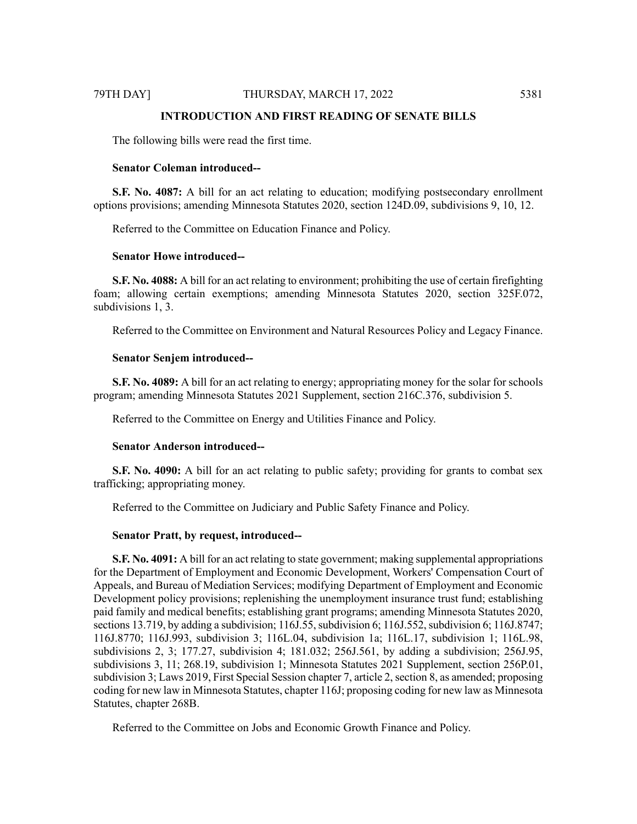# **INTRODUCTION AND FIRST READING OF SENATE BILLS**

The following bills were read the first time.

#### **Senator Coleman introduced--**

**S.F. No. 4087:** A bill for an act relating to education; modifying postsecondary enrollment options provisions; amending Minnesota Statutes 2020, section 124D.09, subdivisions 9, 10, 12.

Referred to the Committee on Education Finance and Policy.

# **Senator Howe introduced--**

**S.F. No. 4088:** A bill for an act relating to environment; prohibiting the use of certain firefighting foam; allowing certain exemptions; amending Minnesota Statutes 2020, section 325F.072, subdivisions 1, 3.

Referred to the Committee on Environment and Natural Resources Policy and Legacy Finance.

#### **Senator Senjem introduced--**

**S.F. No. 4089:** A bill for an act relating to energy; appropriating money for the solar for schools program; amending Minnesota Statutes 2021 Supplement, section 216C.376, subdivision 5.

Referred to the Committee on Energy and Utilities Finance and Policy.

### **Senator Anderson introduced--**

**S.F. No. 4090:** A bill for an act relating to public safety; providing for grants to combat sex trafficking; appropriating money.

Referred to the Committee on Judiciary and Public Safety Finance and Policy.

### **Senator Pratt, by request, introduced--**

**S.F. No. 4091:** A bill for an act relating to state government; making supplemental appropriations for the Department of Employment and Economic Development, Workers' Compensation Court of Appeals, and Bureau of Mediation Services; modifying Department of Employment and Economic Development policy provisions; replenishing the unemployment insurance trust fund; establishing paid family and medical benefits; establishing grant programs; amending Minnesota Statutes 2020, sections 13.719, by adding a subdivision; 116J.55, subdivision 6; 116J.552, subdivision 6; 116J.8747; 116J.8770; 116J.993, subdivision 3; 116L.04, subdivision 1a; 116L.17, subdivision 1; 116L.98, subdivisions 2, 3; 177.27, subdivision 4; 181.032; 256J.561, by adding a subdivision; 256J.95, subdivisions 3, 11; 268.19, subdivision 1; Minnesota Statutes 2021 Supplement, section 256P.01, subdivision 3; Laws 2019, First Special Session chapter 7, article 2, section 8, as amended; proposing coding for new law in Minnesota Statutes, chapter 116J; proposing coding for new law as Minnesota Statutes, chapter 268B.

Referred to the Committee on Jobs and Economic Growth Finance and Policy.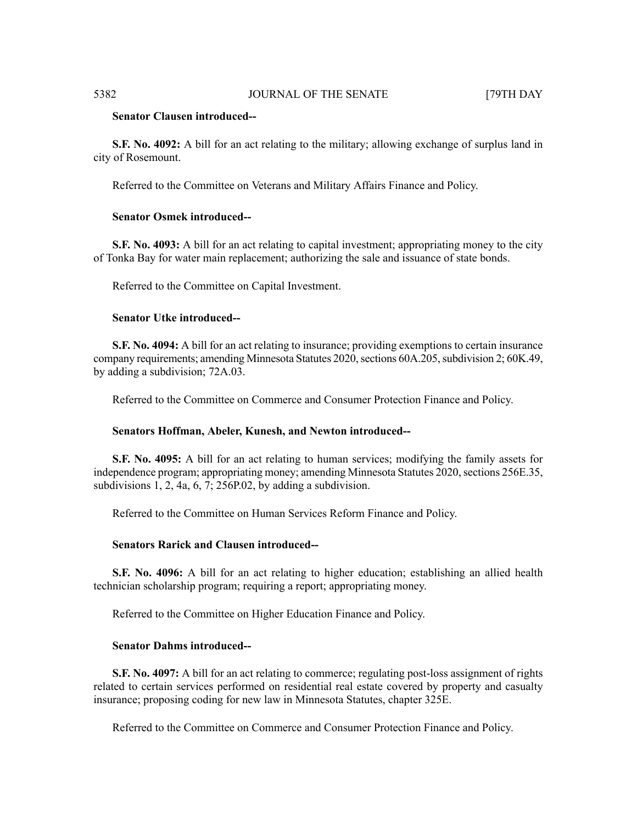# **Senator Clausen introduced--**

**S.F. No. 4092:** A bill for an act relating to the military; allowing exchange of surplus land in city of Rosemount.

Referred to the Committee on Veterans and Military Affairs Finance and Policy.

### **Senator Osmek introduced--**

**S.F. No. 4093:** A bill for an act relating to capital investment; appropriating money to the city of Tonka Bay for water main replacement; authorizing the sale and issuance of state bonds.

Referred to the Committee on Capital Investment.

# **Senator Utke introduced--**

**S.F. No. 4094:** A bill for an act relating to insurance; providing exemptions to certain insurance company requirements; amending Minnesota Statutes 2020, sections 60A.205, subdivision 2; 60K.49, by adding a subdivision; 72A.03.

Referred to the Committee on Commerce and Consumer Protection Finance and Policy.

#### **Senators Hoffman, Abeler, Kunesh, and Newton introduced--**

**S.F. No. 4095:** A bill for an act relating to human services; modifying the family assets for independence program; appropriating money; amending Minnesota Statutes 2020, sections 256E.35, subdivisions  $1, 2, 4a, 6, 7; 256P.02$ , by adding a subdivision.

Referred to the Committee on Human Services Reform Finance and Policy.

# **Senators Rarick and Clausen introduced--**

**S.F. No. 4096:** A bill for an act relating to higher education; establishing an allied health technician scholarship program; requiring a report; appropriating money.

Referred to the Committee on Higher Education Finance and Policy.

#### **Senator Dahms introduced--**

**S.F. No. 4097:** A bill for an act relating to commerce; regulating post-loss assignment of rights related to certain services performed on residential real estate covered by property and casualty insurance; proposing coding for new law in Minnesota Statutes, chapter 325E.

Referred to the Committee on Commerce and Consumer Protection Finance and Policy.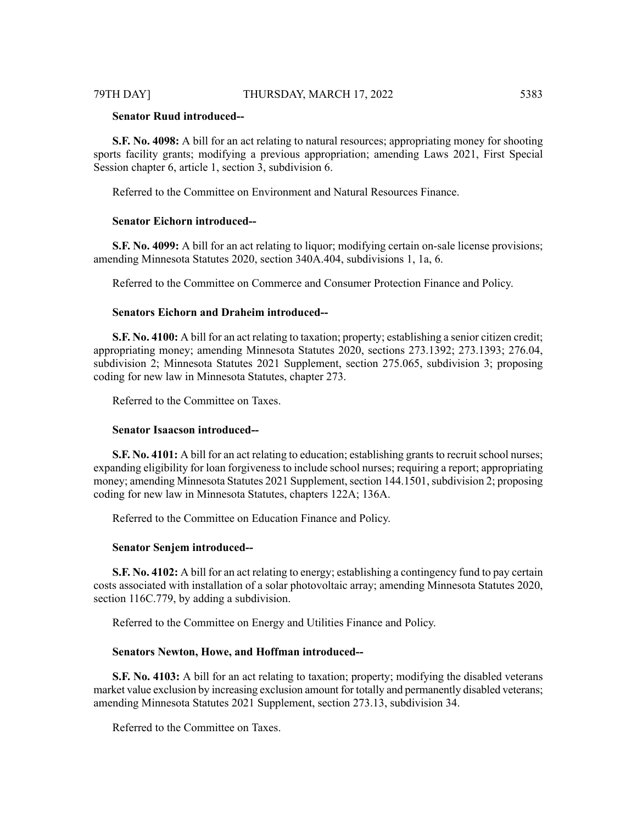# **Senator Ruud introduced--**

**S.F. No. 4098:** A bill for an act relating to natural resources; appropriating money for shooting sports facility grants; modifying a previous appropriation; amending Laws 2021, First Special Session chapter 6, article 1, section 3, subdivision 6.

Referred to the Committee on Environment and Natural Resources Finance.

#### **Senator Eichorn introduced--**

**S.F. No. 4099:** A bill for an act relating to liquor; modifying certain on-sale license provisions; amending Minnesota Statutes 2020, section 340A.404, subdivisions 1, 1a, 6.

Referred to the Committee on Commerce and Consumer Protection Finance and Policy.

# **Senators Eichorn and Draheim introduced--**

**S.F. No. 4100:** A bill for an act relating to taxation; property; establishing a senior citizen credit; appropriating money; amending Minnesota Statutes 2020, sections 273.1392; 273.1393; 276.04, subdivision 2; Minnesota Statutes 2021 Supplement, section 275.065, subdivision 3; proposing coding for new law in Minnesota Statutes, chapter 273.

Referred to the Committee on Taxes.

# **Senator Isaacson introduced--**

**S.F. No. 4101:** A bill for an act relating to education; establishing grants to recruit school nurses; expanding eligibility for loan forgiveness to include school nurses; requiring a report; appropriating money; amending Minnesota Statutes 2021 Supplement, section 144.1501, subdivision 2; proposing coding for new law in Minnesota Statutes, chapters 122A; 136A.

Referred to the Committee on Education Finance and Policy.

### **Senator Senjem introduced--**

**S.F. No. 4102:** A bill for an act relating to energy; establishing a contingency fund to pay certain costs associated with installation of a solar photovoltaic array; amending Minnesota Statutes 2020, section 116C.779, by adding a subdivision.

Referred to the Committee on Energy and Utilities Finance and Policy.

# **Senators Newton, Howe, and Hoffman introduced--**

**S.F. No. 4103:** A bill for an act relating to taxation; property; modifying the disabled veterans market value exclusion by increasing exclusion amount for totally and permanently disabled veterans; amending Minnesota Statutes 2021 Supplement, section 273.13, subdivision 34.

Referred to the Committee on Taxes.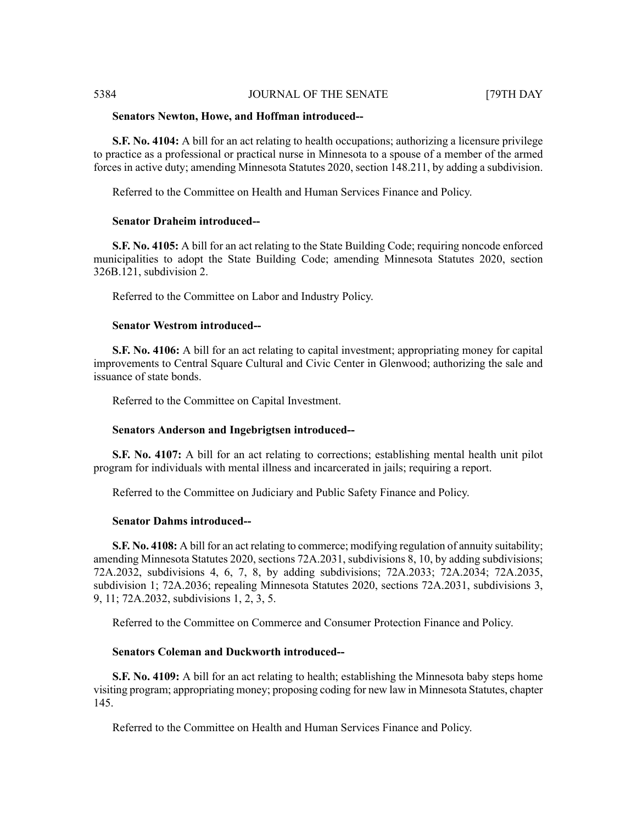#### **Senators Newton, Howe, and Hoffman introduced--**

**S.F. No. 4104:** A bill for an act relating to health occupations; authorizing a licensure privilege to practice as a professional or practical nurse in Minnesota to a spouse of a member of the armed forces in active duty; amending Minnesota Statutes 2020, section 148.211, by adding a subdivision.

Referred to the Committee on Health and Human Services Finance and Policy.

# **Senator Draheim introduced--**

**S.F. No. 4105:** A bill for an act relating to the State Building Code; requiring noncode enforced municipalities to adopt the State Building Code; amending Minnesota Statutes 2020, section 326B.121, subdivision 2.

Referred to the Committee on Labor and Industry Policy.

# **Senator Westrom introduced--**

**S.F. No. 4106:** A bill for an act relating to capital investment; appropriating money for capital improvements to Central Square Cultural and Civic Center in Glenwood; authorizing the sale and issuance of state bonds.

Referred to the Committee on Capital Investment.

# **Senators Anderson and Ingebrigtsen introduced--**

**S.F. No. 4107:** A bill for an act relating to corrections; establishing mental health unit pilot program for individuals with mental illness and incarcerated in jails; requiring a report.

Referred to the Committee on Judiciary and Public Safety Finance and Policy.

# **Senator Dahms introduced--**

**S.F. No. 4108:** A bill for an act relating to commerce; modifying regulation of annuity suitability; amending Minnesota Statutes 2020, sections 72A.2031, subdivisions 8, 10, by adding subdivisions; 72A.2032, subdivisions 4, 6, 7, 8, by adding subdivisions; 72A.2033; 72A.2034; 72A.2035, subdivision 1; 72A.2036; repealing Minnesota Statutes 2020, sections 72A.2031, subdivisions 3, 9, 11; 72A.2032, subdivisions 1, 2, 3, 5.

Referred to the Committee on Commerce and Consumer Protection Finance and Policy.

# **Senators Coleman and Duckworth introduced--**

**S.F. No. 4109:** A bill for an act relating to health; establishing the Minnesota baby steps home visiting program; appropriating money; proposing coding for new law in Minnesota Statutes, chapter 145.

Referred to the Committee on Health and Human Services Finance and Policy.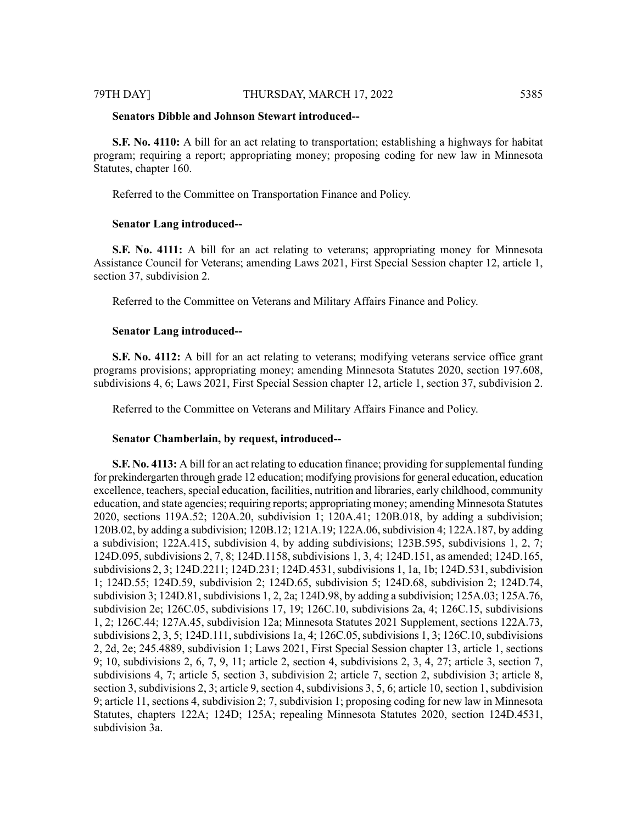#### **Senators Dibble and Johnson Stewart introduced--**

**S.F. No. 4110:** A bill for an act relating to transportation; establishing a highways for habitat program; requiring a report; appropriating money; proposing coding for new law in Minnesota Statutes, chapter 160.

Referred to the Committee on Transportation Finance and Policy.

### **Senator Lang introduced--**

**S.F. No. 4111:** A bill for an act relating to veterans; appropriating money for Minnesota Assistance Council for Veterans; amending Laws 2021, First Special Session chapter 12, article 1, section 37, subdivision 2.

Referred to the Committee on Veterans and Military Affairs Finance and Policy.

#### **Senator Lang introduced--**

**S.F. No. 4112:** A bill for an act relating to veterans; modifying veterans service office grant programs provisions; appropriating money; amending Minnesota Statutes 2020, section 197.608, subdivisions 4, 6; Laws 2021, First Special Session chapter 12, article 1, section 37, subdivision 2.

Referred to the Committee on Veterans and Military Affairs Finance and Policy.

#### **Senator Chamberlain, by request, introduced--**

**S.F. No. 4113:** A bill for an act relating to education finance; providing forsupplemental funding for prekindergarten through grade 12 education; modifying provisions for general education, education excellence, teachers, special education, facilities, nutrition and libraries, early childhood, community education, and state agencies; requiring reports; appropriating money; amending Minnesota Statutes 2020, sections 119A.52; 120A.20, subdivision 1; 120A.41; 120B.018, by adding a subdivision; 120B.02, by adding a subdivision; 120B.12; 121A.19; 122A.06, subdivision 4; 122A.187, by adding a subdivision; 122A.415, subdivision 4, by adding subdivisions; 123B.595, subdivisions 1, 2, 7; 124D.095, subdivisions 2, 7, 8; 124D.1158, subdivisions 1, 3, 4; 124D.151, as amended; 124D.165, subdivisions 2, 3; 124D.2211; 124D.231; 124D.4531, subdivisions 1, 1a, 1b; 124D.531, subdivision 1; 124D.55; 124D.59, subdivision 2; 124D.65, subdivision 5; 124D.68, subdivision 2; 124D.74, subdivision 3; 124D.81, subdivisions 1, 2, 2a; 124D.98, by adding a subdivision; 125A.03; 125A.76, subdivision 2e; 126C.05, subdivisions 17, 19; 126C.10, subdivisions 2a, 4; 126C.15, subdivisions 1, 2; 126C.44; 127A.45, subdivision 12a; Minnesota Statutes 2021 Supplement, sections 122A.73, subdivisions 2, 3, 5; 124D.111, subdivisions 1a, 4; 126C.05, subdivisions 1, 3; 126C.10, subdivisions 2, 2d, 2e; 245.4889, subdivision 1; Laws 2021, First Special Session chapter 13, article 1, sections 9; 10, subdivisions 2, 6, 7, 9, 11; article 2, section 4, subdivisions 2, 3, 4, 27; article 3, section 7, subdivisions 4, 7; article 5, section 3, subdivision 2; article 7, section 2, subdivision 3; article 8, section 3, subdivisions 2, 3; article 9, section 4, subdivisions 3, 5, 6; article 10, section 1, subdivision 9; article 11, sections 4, subdivision 2; 7, subdivision 1; proposing coding for new law in Minnesota Statutes, chapters 122A; 124D; 125A; repealing Minnesota Statutes 2020, section 124D.4531, subdivision 3a.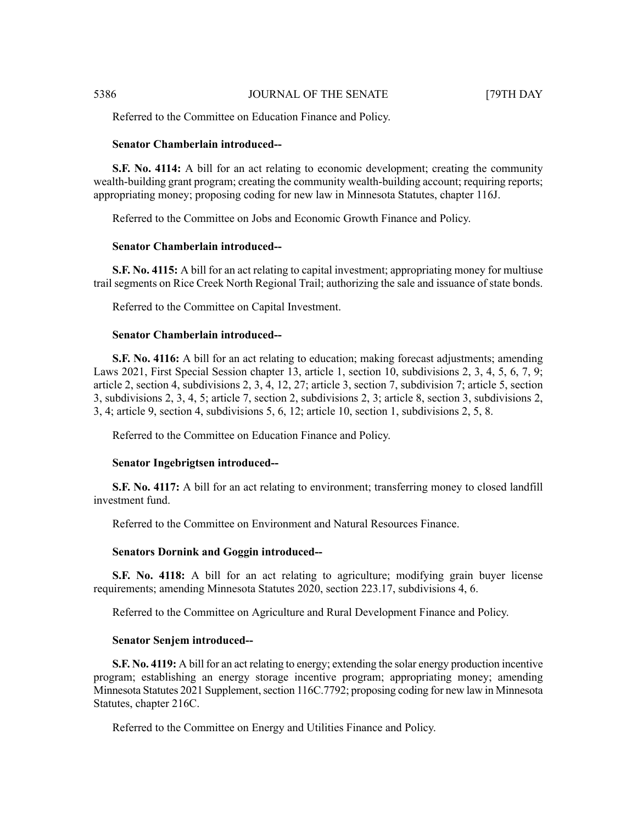Referred to the Committee on Education Finance and Policy.

#### **Senator Chamberlain introduced--**

**S.F. No. 4114:** A bill for an act relating to economic development; creating the community wealth-building grant program; creating the community wealth-building account; requiring reports; appropriating money; proposing coding for new law in Minnesota Statutes, chapter 116J.

Referred to the Committee on Jobs and Economic Growth Finance and Policy.

## **Senator Chamberlain introduced--**

**S.F. No. 4115:** A bill for an act relating to capital investment; appropriating money for multiuse trail segments on Rice Creek North Regional Trail; authorizing the sale and issuance of state bonds.

Referred to the Committee on Capital Investment.

#### **Senator Chamberlain introduced--**

**S.F. No. 4116:** A bill for an act relating to education; making forecast adjustments; amending Laws 2021, First Special Session chapter 13, article 1, section 10, subdivisions 2, 3, 4, 5, 6, 7, 9; article 2, section 4, subdivisions 2, 3, 4, 12, 27; article 3, section 7, subdivision 7; article 5, section 3, subdivisions 2, 3, 4, 5; article 7, section 2, subdivisions 2, 3; article 8, section 3, subdivisions 2, 3, 4; article 9, section 4, subdivisions 5, 6, 12; article 10, section 1, subdivisions 2, 5, 8.

Referred to the Committee on Education Finance and Policy.

#### **Senator Ingebrigtsen introduced--**

**S.F. No. 4117:** A bill for an act relating to environment; transferring money to closed landfill investment fund.

Referred to the Committee on Environment and Natural Resources Finance.

#### **Senators Dornink and Goggin introduced--**

**S.F. No. 4118:** A bill for an act relating to agriculture; modifying grain buyer license requirements; amending Minnesota Statutes 2020, section 223.17, subdivisions 4, 6.

Referred to the Committee on Agriculture and Rural Development Finance and Policy.

#### **Senator Senjem introduced--**

**S.F. No. 4119:** A bill for an act relating to energy; extending the solar energy production incentive program; establishing an energy storage incentive program; appropriating money; amending Minnesota Statutes 2021 Supplement, section 116C.7792; proposing coding for new law in Minnesota Statutes, chapter 216C.

Referred to the Committee on Energy and Utilities Finance and Policy.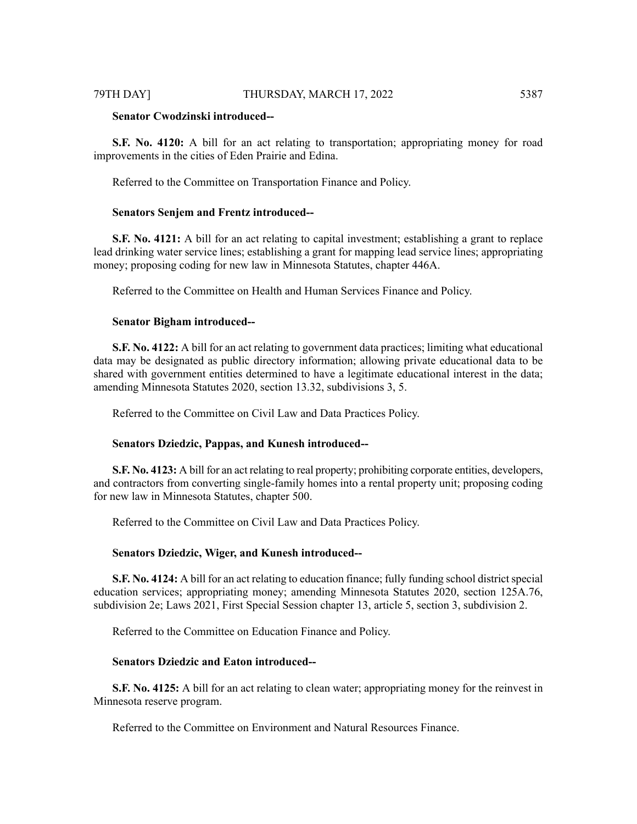**S.F. No. 4120:** A bill for an act relating to transportation; appropriating money for road improvements in the cities of Eden Prairie and Edina.

Referred to the Committee on Transportation Finance and Policy.

#### **Senators Senjem and Frentz introduced--**

**S.F. No. 4121:** A bill for an act relating to capital investment; establishing a grant to replace lead drinking water service lines; establishing a grant for mapping lead service lines; appropriating money; proposing coding for new law in Minnesota Statutes, chapter 446A.

Referred to the Committee on Health and Human Services Finance and Policy.

#### **Senator Bigham introduced--**

**S.F. No. 4122:** A bill for an act relating to government data practices; limiting what educational data may be designated as public directory information; allowing private educational data to be shared with government entities determined to have a legitimate educational interest in the data; amending Minnesota Statutes 2020, section 13.32, subdivisions 3, 5.

Referred to the Committee on Civil Law and Data Practices Policy.

### **Senators Dziedzic, Pappas, and Kunesh introduced--**

**S.F. No. 4123:** A bill for an act relating to real property; prohibiting corporate entities, developers, and contractors from converting single-family homes into a rental property unit; proposing coding for new law in Minnesota Statutes, chapter 500.

Referred to the Committee on Civil Law and Data Practices Policy.

#### **Senators Dziedzic, Wiger, and Kunesh introduced--**

**S.F. No. 4124:** A bill for an act relating to education finance; fully funding school district special education services; appropriating money; amending Minnesota Statutes 2020, section 125A.76, subdivision 2e; Laws 2021, First Special Session chapter 13, article 5, section 3, subdivision 2.

Referred to the Committee on Education Finance and Policy.

### **Senators Dziedzic and Eaton introduced--**

**S.F. No. 4125:** A bill for an act relating to clean water; appropriating money for the reinvest in Minnesota reserve program.

Referred to the Committee on Environment and Natural Resources Finance.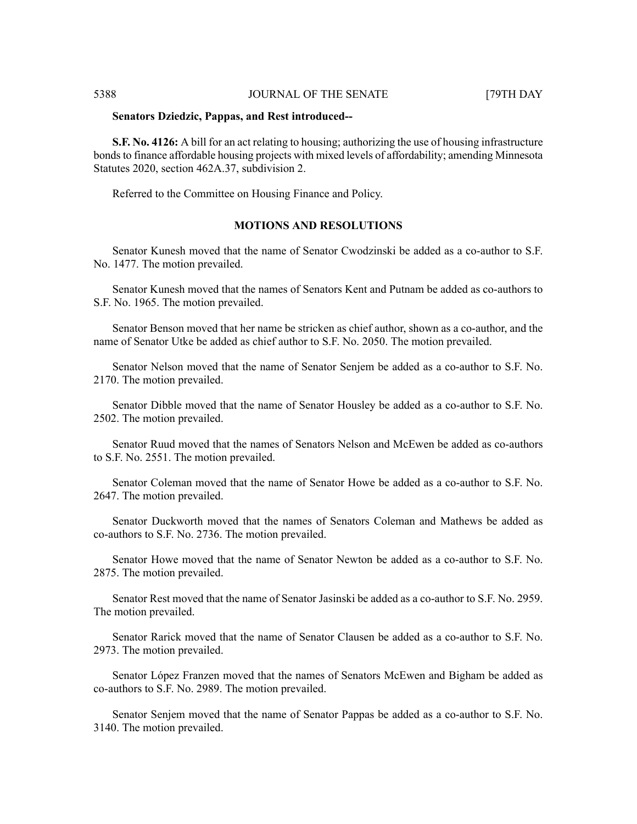#### **Senators Dziedzic, Pappas, and Rest introduced--**

**S.F. No. 4126:** A bill for an act relating to housing; authorizing the use of housing infrastructure bonds to finance affordable housing projects with mixed levels of affordability; amending Minnesota Statutes 2020, section 462A.37, subdivision 2.

Referred to the Committee on Housing Finance and Policy.

# **MOTIONS AND RESOLUTIONS**

Senator Kunesh moved that the name of Senator Cwodzinski be added as a co-author to S.F. No. 1477. The motion prevailed.

Senator Kunesh moved that the names of Senators Kent and Putnam be added as co-authors to S.F. No. 1965. The motion prevailed.

Senator Benson moved that her name be stricken as chief author, shown as a co-author, and the name of Senator Utke be added as chief author to S.F. No. 2050. The motion prevailed.

Senator Nelson moved that the name of Senator Senjem be added as a co-author to S.F. No. 2170. The motion prevailed.

Senator Dibble moved that the name of Senator Housley be added as a co-author to S.F. No. 2502. The motion prevailed.

Senator Ruud moved that the names of Senators Nelson and McEwen be added as co-authors to S.F. No. 2551. The motion prevailed.

Senator Coleman moved that the name of Senator Howe be added as a co-author to S.F. No. 2647. The motion prevailed.

Senator Duckworth moved that the names of Senators Coleman and Mathews be added as co-authors to S.F. No. 2736. The motion prevailed.

Senator Howe moved that the name of Senator Newton be added as a co-author to S.F. No. 2875. The motion prevailed.

Senator Rest moved that the name of Senator Jasinski be added as a co-author to S.F. No. 2959. The motion prevailed.

Senator Rarick moved that the name of Senator Clausen be added as a co-author to S.F. No. 2973. The motion prevailed.

Senator López Franzen moved that the names of Senators McEwen and Bigham be added as co-authors to S.F. No. 2989. The motion prevailed.

Senator Senjem moved that the name of Senator Pappas be added as a co-author to S.F. No. 3140. The motion prevailed.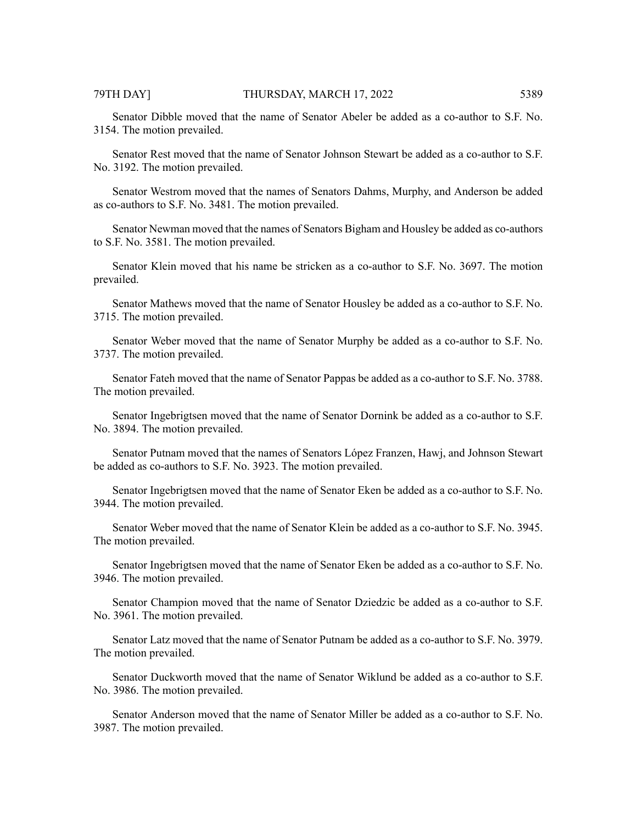Senator Dibble moved that the name of Senator Abeler be added as a co-author to S.F. No. 3154. The motion prevailed.

Senator Rest moved that the name of Senator Johnson Stewart be added as a co-author to S.F. No. 3192. The motion prevailed.

Senator Westrom moved that the names of Senators Dahms, Murphy, and Anderson be added as co-authors to S.F. No. 3481. The motion prevailed.

Senator Newman moved that the names of Senators Bigham and Housley be added as co-authors to S.F. No. 3581. The motion prevailed.

Senator Klein moved that his name be stricken as a co-author to S.F. No. 3697. The motion prevailed.

Senator Mathews moved that the name of Senator Housley be added as a co-author to S.F. No. 3715. The motion prevailed.

Senator Weber moved that the name of Senator Murphy be added as a co-author to S.F. No. 3737. The motion prevailed.

Senator Fateh moved that the name of Senator Pappas be added as a co-author to S.F. No. 3788. The motion prevailed.

Senator Ingebrigtsen moved that the name of Senator Dornink be added as a co-author to S.F. No. 3894. The motion prevailed.

Senator Putnam moved that the names of Senators López Franzen, Hawj, and Johnson Stewart be added as co-authors to S.F. No. 3923. The motion prevailed.

Senator Ingebrigtsen moved that the name of Senator Eken be added as a co-author to S.F. No. 3944. The motion prevailed.

Senator Weber moved that the name of Senator Klein be added as a co-author to S.F. No. 3945. The motion prevailed.

Senator Ingebrigtsen moved that the name of Senator Eken be added as a co-author to S.F. No. 3946. The motion prevailed.

Senator Champion moved that the name of Senator Dziedzic be added as a co-author to S.F. No. 3961. The motion prevailed.

Senator Latz moved that the name of Senator Putnam be added as a co-author to S.F. No. 3979. The motion prevailed.

Senator Duckworth moved that the name of Senator Wiklund be added as a co-author to S.F. No. 3986. The motion prevailed.

Senator Anderson moved that the name of Senator Miller be added as a co-author to S.F. No. 3987. The motion prevailed.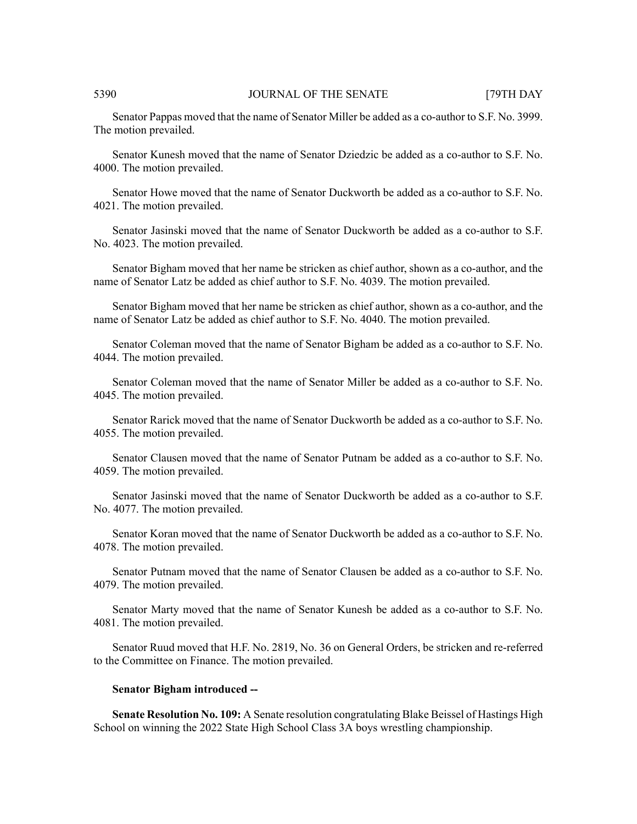Senator Pappas moved that the name of Senator Miller be added as a co-author to S.F. No. 3999. The motion prevailed.

Senator Kunesh moved that the name of Senator Dziedzic be added as a co-author to S.F. No. 4000. The motion prevailed.

Senator Howe moved that the name of Senator Duckworth be added as a co-author to S.F. No. 4021. The motion prevailed.

Senator Jasinski moved that the name of Senator Duckworth be added as a co-author to S.F. No. 4023. The motion prevailed.

Senator Bigham moved that her name be stricken as chief author, shown as a co-author, and the name of Senator Latz be added as chief author to S.F. No. 4039. The motion prevailed.

Senator Bigham moved that her name be stricken as chief author, shown as a co-author, and the name of Senator Latz be added as chief author to S.F. No. 4040. The motion prevailed.

Senator Coleman moved that the name of Senator Bigham be added as a co-author to S.F. No. 4044. The motion prevailed.

Senator Coleman moved that the name of Senator Miller be added as a co-author to S.F. No. 4045. The motion prevailed.

Senator Rarick moved that the name of Senator Duckworth be added as a co-author to S.F. No. 4055. The motion prevailed.

Senator Clausen moved that the name of Senator Putnam be added as a co-author to S.F. No. 4059. The motion prevailed.

Senator Jasinski moved that the name of Senator Duckworth be added as a co-author to S.F. No. 4077. The motion prevailed.

Senator Koran moved that the name of Senator Duckworth be added as a co-author to S.F. No. 4078. The motion prevailed.

Senator Putnam moved that the name of Senator Clausen be added as a co-author to S.F. No. 4079. The motion prevailed.

Senator Marty moved that the name of Senator Kunesh be added as a co-author to S.F. No. 4081. The motion prevailed.

Senator Ruud moved that H.F. No. 2819, No. 36 on General Orders, be stricken and re-referred to the Committee on Finance. The motion prevailed.

#### **Senator Bigham introduced --**

**Senate Resolution No. 109:** A Senate resolution congratulating Blake Beissel of Hastings High School on winning the 2022 State High School Class 3A boys wrestling championship.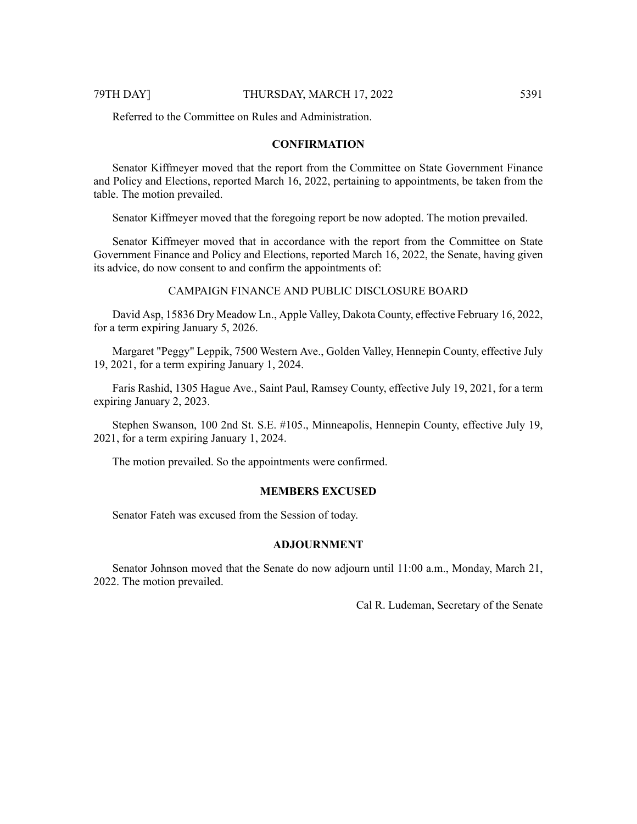Referred to the Committee on Rules and Administration.

# **CONFIRMATION**

Senator Kiffmeyer moved that the report from the Committee on State Government Finance and Policy and Elections, reported March 16, 2022, pertaining to appointments, be taken from the table. The motion prevailed.

Senator Kiffmeyer moved that the foregoing report be now adopted. The motion prevailed.

Senator Kiffmeyer moved that in accordance with the report from the Committee on State Government Finance and Policy and Elections, reported March 16, 2022, the Senate, having given its advice, do now consent to and confirm the appointments of:

# CAMPAIGN FINANCE AND PUBLIC DISCLOSURE BOARD

David Asp, 15836 Dry Meadow Ln., Apple Valley, Dakota County, effective February 16, 2022, for a term expiring January 5, 2026.

Margaret "Peggy" Leppik, 7500 Western Ave., Golden Valley, Hennepin County, effective July 19, 2021, for a term expiring January 1, 2024.

Faris Rashid, 1305 Hague Ave., Saint Paul, Ramsey County, effective July 19, 2021, for a term expiring January 2, 2023.

Stephen Swanson, 100 2nd St. S.E. #105., Minneapolis, Hennepin County, effective July 19, 2021, for a term expiring January 1, 2024.

The motion prevailed. So the appointments were confirmed.

# **MEMBERS EXCUSED**

Senator Fateh was excused from the Session of today.

# **ADJOURNMENT**

Senator Johnson moved that the Senate do now adjourn until 11:00 a.m., Monday, March 21, 2022. The motion prevailed.

Cal R. Ludeman, Secretary of the Senate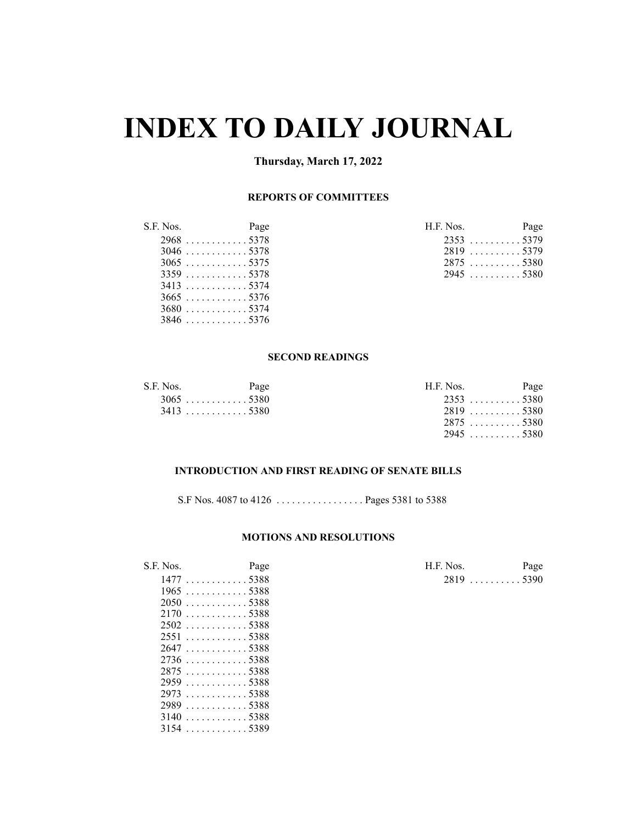# **INDEX TO DAILY JOURNAL**

# **Thursday, March 17, 2022**

# **REPORTS OF COMMITTEES**

| S.F. Nos. | Page        | H.F. Nos.   | Page |
|-----------|-------------|-------------|------|
|           | $2968$ 5378 | $2353$ 5379 |      |
|           | $3046$ 5378 | 2819 5379   |      |
|           | $3065$ 5375 | $2875$ 5380 |      |
|           | $3359$ 5378 | 29455380    |      |
| 3413 5374 |             |             |      |
|           | $3665$ 5376 |             |      |
|           | $3680$ 5374 |             |      |
|           | $3846$ 5376 |             |      |

 . . . . . . . . . . . . 5388 . . . . . . . . . . . . 5389

| .F. Nos. |                    | Page |
|----------|--------------------|------|
|          | $2353$ 5379        |      |
|          | 2819 5379          |      |
|          | $2875$ 5380        |      |
|          | $2945 \ldots 5380$ |      |

### **SECOND READINGS**

| S.F. Nos.   | Page        | H.F. Nos.   | Page |
|-------------|-------------|-------------|------|
|             | $3065$ 5380 | $2353$ 5380 |      |
| $3413$ 5380 |             | $2819$ 5380 |      |
|             |             | 28755380    |      |
|             |             | 29455380    |      |

### **INTRODUCTION AND FIRST READING OF SENATE BILLS**

S.F Nos. 4087 to 4126 . . . . . . . . . . . . . . . . . Pages 5381 to 5388

### **MOTIONS AND RESOLUTIONS**

| S.F. Nos. | Page                     | H.F. Nos. | Page        |
|-----------|--------------------------|-----------|-------------|
|           | 14775388                 |           | $2819$ 5390 |
|           | $1965$ 5388              |           |             |
|           | $2050$ 5388              |           |             |
|           | $2170$ 5388              |           |             |
|           | $2502$ 5388              |           |             |
|           | 25515388                 |           |             |
|           | 26475388                 |           |             |
|           |                          |           |             |
|           | 28755388                 |           |             |
|           |                          |           |             |
|           | $2973$ 5388              |           |             |
|           | $2989 \dots  \dots 5388$ |           |             |